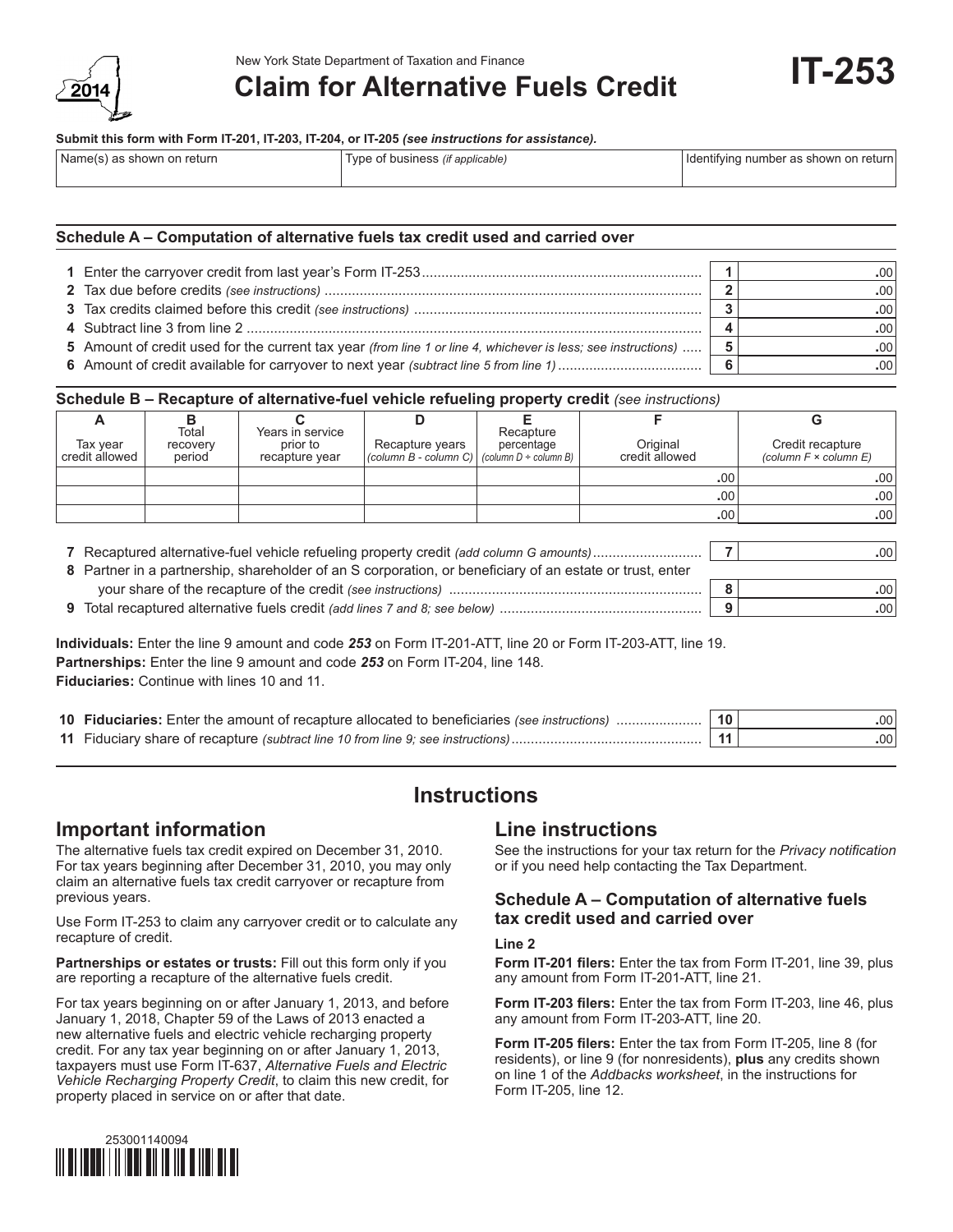

# **Claim for Alternative Fuels Credit**

#### **Submit this form with Form IT-201, IT-203, IT-204, or IT-205** *(see instructions for assistance).*

| Name(s) as shown on return | Type of business <i>(if applicable)</i> | Identifying number as shown on return |  |  |  |
|----------------------------|-----------------------------------------|---------------------------------------|--|--|--|
|                            |                                         |                                       |  |  |  |

### **Schedule A – Computation of alternative fuels tax credit used and carried over**

|                                                                                                               | .00  |
|---------------------------------------------------------------------------------------------------------------|------|
|                                                                                                               | .00  |
|                                                                                                               | .00  |
|                                                                                                               | .00. |
| 5 Amount of credit used for the current tax year (from line 1 or line 4, whichever is less; see instructions) | .00  |
|                                                                                                               | .00. |

### **Schedule B – Recapture of alternative-fuel vehicle refueling property credit** *(see instructions)*

|                            | Total              | Years in service                                                                                         |                                            | Recapture                           |                            |                  | G                                                   |
|----------------------------|--------------------|----------------------------------------------------------------------------------------------------------|--------------------------------------------|-------------------------------------|----------------------------|------------------|-----------------------------------------------------|
| Tax year<br>credit allowed | recovery<br>period | prior to<br>recapture vear                                                                               | Recapture years<br>(column $B$ - column C) | percentage<br>(column D ÷ column B) | Original<br>credit allowed |                  | Credit recapture<br>(column $F \times$ column $E$ ) |
|                            |                    |                                                                                                          |                                            |                                     |                            | .00              | .00                                                 |
|                            |                    |                                                                                                          |                                            |                                     |                            | .00 <sup>1</sup> | .00                                                 |
|                            |                    |                                                                                                          |                                            |                                     |                            | .00              | .00                                                 |
|                            |                    |                                                                                                          |                                            |                                     |                            |                  |                                                     |
|                            |                    |                                                                                                          |                                            |                                     |                            |                  | .00                                                 |
|                            |                    | 8 Partner in a partnership, shareholder of an S corporation, or beneficiary of an estate or trust, enter |                                            |                                     |                            |                  |                                                     |

| your share of the recapture of the credit (see instructions)                      |  | .00 |
|-----------------------------------------------------------------------------------|--|-----|
| Total recaptured alternative fuels credit <i>(add lines 7 and 8; see below)</i> . |  | .00 |

**Individuals:** Enter the line 9 amount and code *253* on Form IT-201-ATT, line 20 or Form IT-203-ATT, line 19. **Partnerships:** Enter the line 9 amount and code *253* on Form IT-204, line 148. **Fiduciaries:** Continue with lines 10 and 11.

| 10 Fiduciaries: Enter the amount of recapture allocated to beneficiaries (see instructions) |  | 10 <sup>°</sup><br>.00 <sub>1</sub> |
|---------------------------------------------------------------------------------------------|--|-------------------------------------|
| 11 Fiduciary share of recapture (subtract line 10 from line 9; see instructions)            |  | .001                                |

# **Instructions**

### **Important information**

The alternative fuels tax credit expired on December 31, 2010. For tax years beginning after December 31, 2010, you may only claim an alternative fuels tax credit carryover or recapture from previous years.

Use Form IT-253 to claim any carryover credit or to calculate any recapture of credit.

**Partnerships or estates or trusts:** Fill out this form only if you are reporting a recapture of the alternative fuels credit.

For tax years beginning on or after January 1, 2013, and before January 1, 2018, Chapter 59 of the Laws of 2013 enacted a new alternative fuels and electric vehicle recharging property credit. For any tax year beginning on or after January 1, 2013, taxpayers must use Form IT-637, *Alternative Fuels and Electric Vehicle Recharging Property Credit*, to claim this new credit, for property placed in service on or after that date.

# **Line instructions**

See the instructions for your tax return for the *Privacy notification* or if you need help contacting the Tax Department.

### **Schedule A – Computation of alternative fuels tax credit used and carried over**

#### **Line 2**

**Form IT-201 filers:** Enter the tax from Form IT-201, line 39, plus any amount from Form IT-201-ATT, line 21.

**Form IT-203 filers:** Enter the tax from Form IT-203, line 46, plus any amount from Form IT-203-ATT, line 20.

**Form IT-205 filers:** Enter the tax from Form IT-205, line 8 (for residents), or line 9 (for nonresidents), **plus** any credits shown on line 1 of the *Addbacks worksheet*, in the instructions for Form IT-205, line 12.